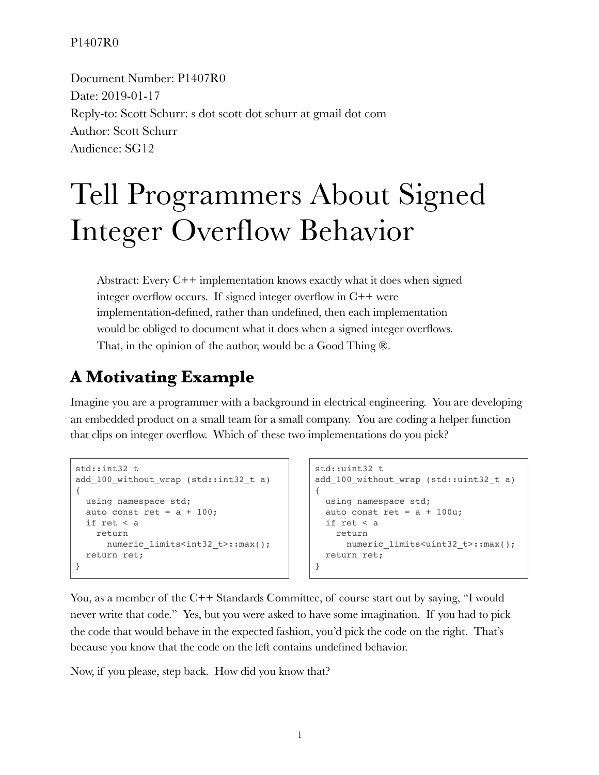Document Number: P1407R0 Date: 2019-01-17 Reply-to: Scott Schurr: s dot scott dot schurr at gmail dot com Author: Scott Schurr Audience: SG12

# Tell Programmers About Signed Integer Overflow Behavior

Abstract: Every C++ implementation knows exactly what it does when signed integer overflow occurs. If signed integer overflow in C++ were implementation-defined, rather than undefined, then each implementation would be obliged to document what it does when a signed integer overflows. That, in the opinion of the author, would be a Good Thing ®.

# **A Motivating Example**

Imagine you are a programmer with a background in electrical engineering. You are developing an embedded product on a small team for a small company. You are coding a helper function that clips on integer overflow. Which of these two implementations do you pick?

```
std::int32_t
add 100 without wrap (std::int32 t a)
{
  using namespace std;
 auto const ret = a + 100;
  if ret < a
    return
     numeric limits<int32 t>::max();
   return ret;
}
```

```
std::uint32_t
add_100_without_wrap (std::uint32_t a)
{
  using namespace std;
 auto const ret = a + 100u;
  if ret < a
    return
     numeric limits<uint32 t>::max();
   return ret;
}
```
You, as a member of the C++ Standards Committee, of course start out by saying, "I would never write that code." Yes, but you were asked to have some imagination. If you had to pick the code that would behave in the expected fashion, you'd pick the code on the right. That's because you know that the code on the left contains undefined behavior.

Now, if you please, step back. How did you know that?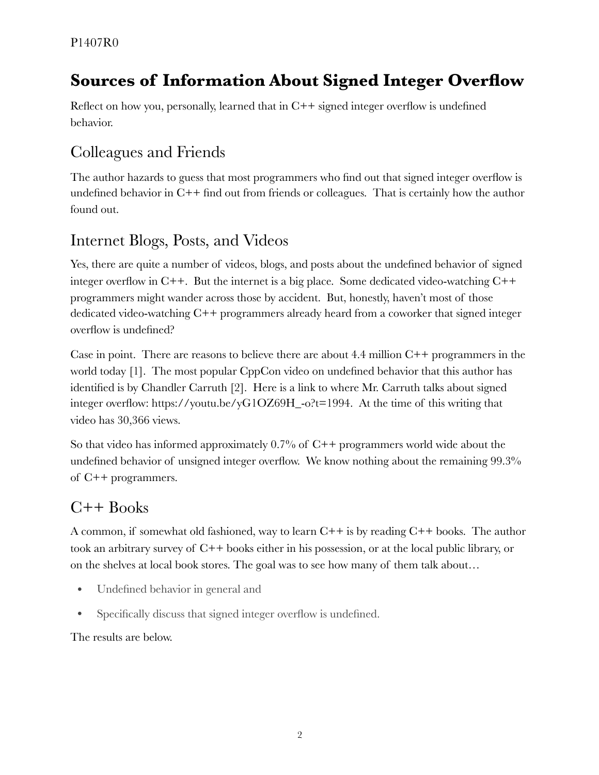# **Sources of Information About Signed Integer Overflow**

Reflect on how you, personally, learned that in  $C++$  signed integer overflow is undefined behavior.

# Colleagues and Friends

The author hazards to guess that most programmers who find out that signed integer overflow is undefined behavior in C++ find out from friends or colleagues. That is certainly how the author found out.

## Internet Blogs, Posts, and Videos

Yes, there are quite a number of videos, blogs, and posts about the undefined behavior of signed integer overflow in  $C_{++}$ . But the internet is a big place. Some dedicated video-watching  $C_{++}$ programmers might wander across those by accident. But, honestly, haven't most of those dedicated video-watching C++ programmers already heard from a coworker that signed integer overflow is undefined?

Case in point. There are reasons to believe there are about  $4.4$  million  $C++$  programmers in the world today [1]. The most popular CppCon video on undefined behavior that this author has identified is by Chandler Carruth [2]. Here is a link to where Mr. Carruth talks about signed integer overflow: https://youtu.be/yG1OZ69H\_-o?t=1994. At the time of this writing that video has 30,366 views.

So that video has informed approximately  $0.7\%$  of C++ programmers world wide about the undefined behavior of unsigned integer overflow. We know nothing about the remaining 99.3% of C++ programmers.

## C++ Books

A common, if somewhat old fashioned, way to learn  $C++$  is by reading  $C++$  books. The author took an arbitrary survey of C++ books either in his possession, or at the local public library, or on the shelves at local book stores. The goal was to see how many of them talk about…

- Undefined behavior in general and
- Specifically discuss that signed integer overflow is undefined.

The results are below.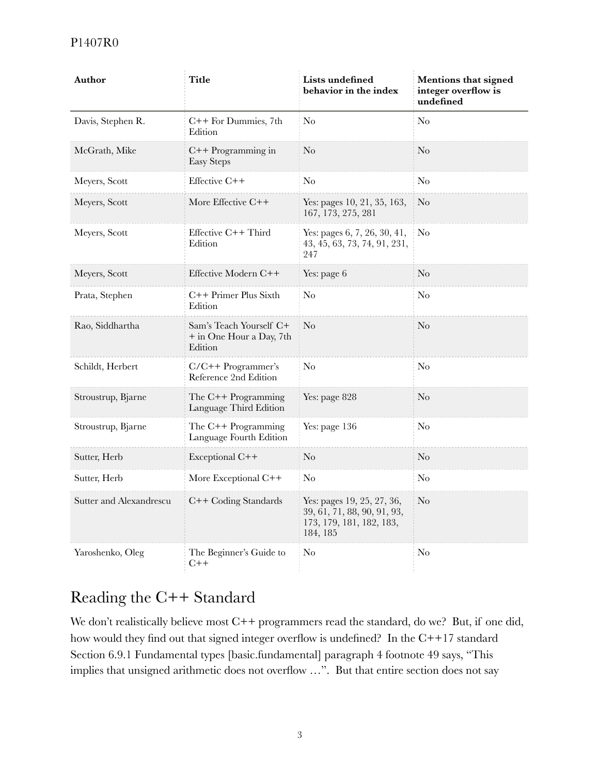| Author                  | <b>Title</b>                                                   | Lists undefined<br>behavior in the index                                                          | Mentions that signed<br>integer overflow is<br>undefined |
|-------------------------|----------------------------------------------------------------|---------------------------------------------------------------------------------------------------|----------------------------------------------------------|
| Davis, Stephen R.       | C++ For Dummies, 7th<br>Edition                                | No                                                                                                | $\rm No$                                                 |
| McGrath, Mike           | $C++$ Programming in<br><b>Easy Steps</b>                      | $\rm No$                                                                                          | $\rm No$                                                 |
| Meyers, Scott           | Effective C++                                                  | No                                                                                                | N <sub>0</sub>                                           |
| Meyers, Scott           | More Effective C++                                             | Yes: pages 10, 21, 35, 163,<br>167, 173, 275, 281                                                 | $\rm No$                                                 |
| Meyers, Scott           | Effective $C++$ Third<br>Edition                               | Yes: pages 6, 7, 26, 30, 41,<br>43, 45, 63, 73, 74, 91, 231,<br>247                               | $\rm No$                                                 |
| Meyers, Scott           | Effective Modern C++                                           | Yes: page 6                                                                                       | $\rm No$                                                 |
| Prata, Stephen          | C++ Primer Plus Sixth<br>Edition                               | No                                                                                                | $\rm No$                                                 |
| Rao, Siddhartha         | Sam's Teach Yourself C+<br>+ in One Hour a Day, 7th<br>Edition | $\rm No$                                                                                          | $\rm No$                                                 |
| Schildt, Herbert        | $C/C++$ Programmer's<br>Reference 2nd Edition                  | No                                                                                                | N <sub>0</sub>                                           |
| Stroustrup, Bjarne      | The $C++$ Programming<br>Language Third Edition                | Yes: page 828                                                                                     | N <sub>o</sub>                                           |
| Stroustrup, Bjarne      | The $C++$ Programming<br>Language Fourth Edition               | Yes: page 136                                                                                     | N <sub>0</sub>                                           |
| Sutter, Herb            | Exceptional C++                                                | $\rm No$                                                                                          | $\rm No$                                                 |
| Sutter, Herb            | More Exceptional C++                                           | No                                                                                                | N <sub>0</sub>                                           |
| Sutter and Alexandrescu | C++ Coding Standards                                           | Yes: pages 19, 25, 27, 36,<br>39, 61, 71, 88, 90, 91, 93,<br>173, 179, 181, 182, 183,<br>184, 185 | $\rm No$                                                 |
| Yaroshenko, Oleg        | The Beginner's Guide to<br>$C++$                               | No                                                                                                | No                                                       |

## Reading the C++ Standard

We don't realistically believe most C++ programmers read the standard, do we? But, if one did, how would they find out that signed integer overflow is undefined? In the C++17 standard Section 6.9.1 Fundamental types [basic.fundamental] paragraph 4 footnote 49 says, "This implies that unsigned arithmetic does not overflow …". But that entire section does not say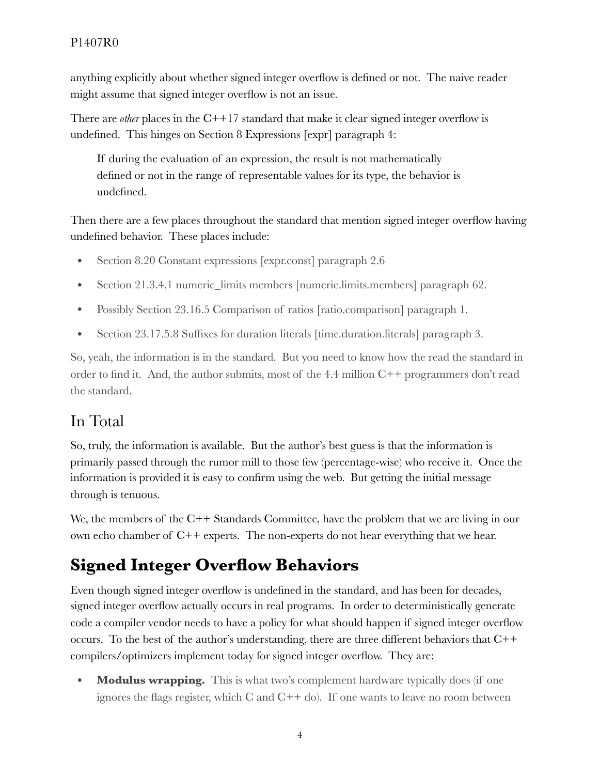anything explicitly about whether signed integer overflow is defined or not. The naive reader might assume that signed integer overflow is not an issue.

There are *other* places in the C++17 standard that make it clear signed integer overflow is undefined. This hinges on Section 8 Expressions [expr] paragraph 4:

If during the evaluation of an expression, the result is not mathematically defined or not in the range of representable values for its type, the behavior is undefined.

Then there are a few places throughout the standard that mention signed integer overflow having undefined behavior. These places include:

- Section 8.20 Constant expressions [expr.const] paragraph 2.6
- Section 21.3.4.1 numeric\_limits members [numeric.limits.members] paragraph 62.
- Possibly Section 23.16.5 Comparison of ratios [ratio.comparison] paragraph 1.
- Section 23.17.5.8 Suffixes for duration literals [time.duration.literals] paragraph 3.

So, yeah, the information is in the standard. But you need to know how the read the standard in order to find it. And, the author submits, most of the 4.4 million C++ programmers don't read the standard.

## In Total

So, truly, the information is available. But the author's best guess is that the information is primarily passed through the rumor mill to those few (percentage-wise) who receive it. Once the information is provided it is easy to confirm using the web. But getting the initial message through is tenuous.

We, the members of the C++ Standards Committee, have the problem that we are living in our own echo chamber of  $C++$  experts. The non-experts do not hear everything that we hear.

# **Signed Integer Overflow Behaviors**

Even though signed integer overflow is undefined in the standard, and has been for decades, signed integer overflow actually occurs in real programs. In order to deterministically generate code a compiler vendor needs to have a policy for what should happen if signed integer overflow occurs. To the best of the author's understanding, there are three different behaviors that  $C++$ compilers/optimizers implement today for signed integer overflow. They are:

• **Modulus wrapping.** This is what two's complement hardware typically does (if one ignores the flags register, which  $C$  and  $C++$  do). If one wants to leave no room between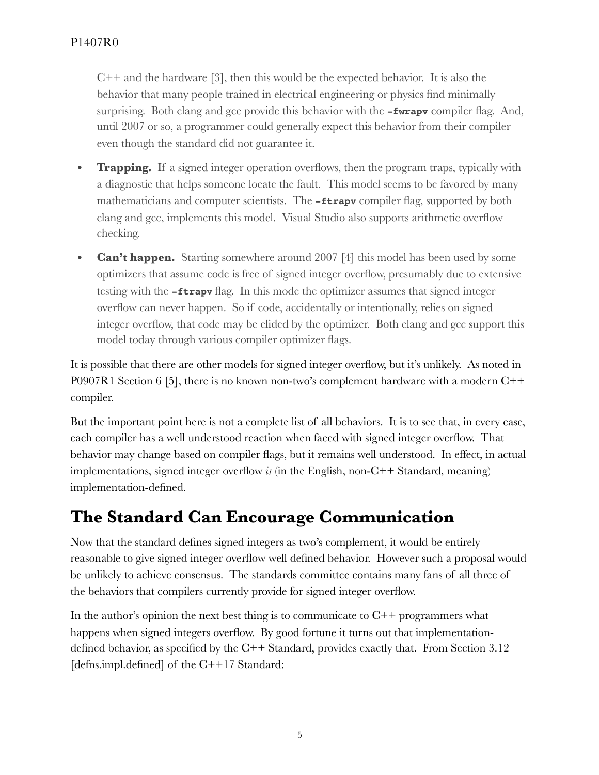$C++$  and the hardware [3], then this would be the expected behavior. It is also the behavior that many people trained in electrical engineering or physics find minimally surprising. Both clang and gcc provide this behavior with the **-fwrapv** compiler flag. And, until 2007 or so, a programmer could generally expect this behavior from their compiler even though the standard did not guarantee it.

- **Trapping.** If a signed integer operation overflows, then the program traps, typically with a diagnostic that helps someone locate the fault. This model seems to be favored by many mathematicians and computer scientists. The **-ftrapv** compiler flag, supported by both clang and gcc, implements this model. Visual Studio also supports arithmetic overflow checking.
- **Can't happen.** Starting somewhere around 2007 [4] this model has been used by some optimizers that assume code is free of signed integer overflow, presumably due to extensive testing with the **-ftrapv** flag. In this mode the optimizer assumes that signed integer overflow can never happen. So if code, accidentally or intentionally, relies on signed integer overflow, that code may be elided by the optimizer. Both clang and gcc support this model today through various compiler optimizer flags.

It is possible that there are other models for signed integer overflow, but it's unlikely. As noted in P0907R1 Section 6 [5], there is no known non-two's complement hardware with a modern C++ compiler.

But the important point here is not a complete list of all behaviors. It is to see that, in every case, each compiler has a well understood reaction when faced with signed integer overflow. That behavior may change based on compiler flags, but it remains well understood. In effect, in actual implementations, signed integer overflow *is* (in the English, non-C++ Standard, meaning) implementation-defined.

# **The Standard Can Encourage Communication**

Now that the standard defines signed integers as two's complement, it would be entirely reasonable to give signed integer overflow well defined behavior. However such a proposal would be unlikely to achieve consensus. The standards committee contains many fans of all three of the behaviors that compilers currently provide for signed integer overflow.

In the author's opinion the next best thing is to communicate to  $C++$  programmers what happens when signed integers overflow. By good fortune it turns out that implementationdefined behavior, as specified by the C++ Standard, provides exactly that. From Section 3.12 [defins.impl.defined] of the C++17 Standard: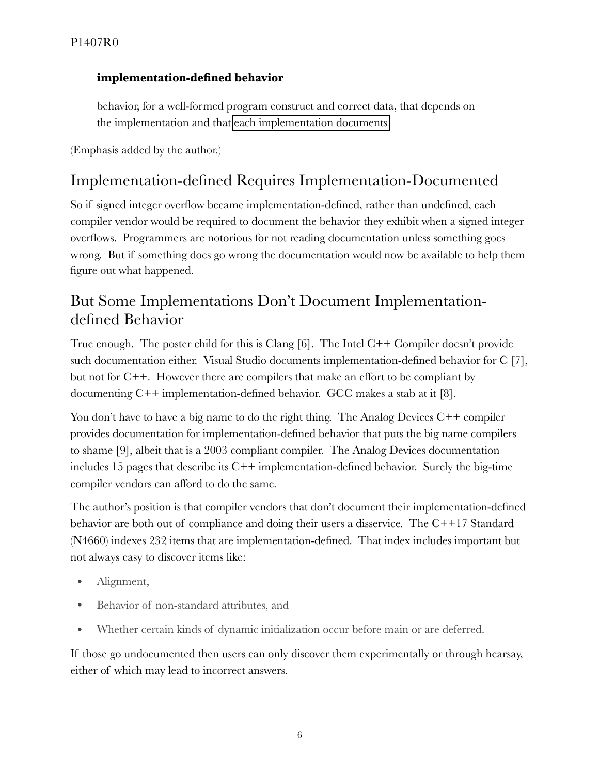#### **implementation-defined behavior**

behavior, for a well-formed program construct and correct data, that depends on the implementation and that each implementation documents

(Emphasis added by the author.)

## Implementation-defined Requires Implementation-Documented

So if signed integer overflow became implementation-defined, rather than undefined, each compiler vendor would be required to document the behavior they exhibit when a signed integer overflows. Programmers are notorious for not reading documentation unless something goes wrong. But if something does go wrong the documentation would now be available to help them figure out what happened.

## But Some Implementations Don't Document Implementationdefined Behavior

True enough. The poster child for this is Clang [6]. The Intel C++ Compiler doesn't provide such documentation either. Visual Studio documents implementation-defined behavior for C [7], but not for C++. However there are compilers that make an effort to be compliant by documenting  $C++$  implementation-defined behavior. GCC makes a stab at it [8].

You don't have to have a big name to do the right thing. The Analog Devices C++ compiler provides documentation for implementation-defined behavior that puts the big name compilers to shame [9], albeit that is a 2003 compliant compiler. The Analog Devices documentation includes 15 pages that describe its  $C++$  implementation-defined behavior. Surely the big-time compiler vendors can afford to do the same.

The author's position is that compiler vendors that don't document their implementation-defined behavior are both out of compliance and doing their users a disservice. The C++17 Standard (N4660) indexes 232 items that are implementation-defined. That index includes important but not always easy to discover items like:

- Alignment,
- Behavior of non-standard attributes, and
- Whether certain kinds of dynamic initialization occur before main or are deferred.

If those go undocumented then users can only discover them experimentally or through hearsay, either of which may lead to incorrect answers.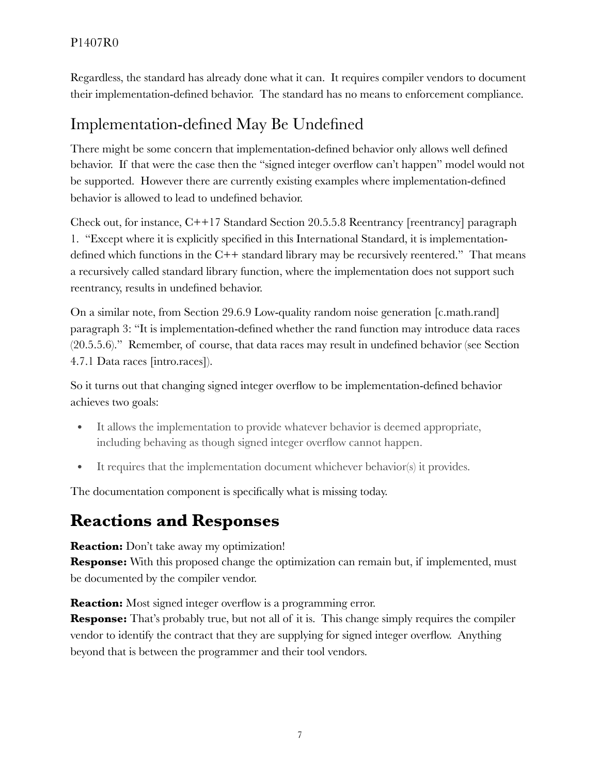Regardless, the standard has already done what it can. It requires compiler vendors to document their implementation-defined behavior. The standard has no means to enforcement compliance.

## Implementation-defined May Be Undefined

There might be some concern that implementation-defined behavior only allows well defined behavior. If that were the case then the "signed integer overflow can't happen" model would not be supported. However there are currently existing examples where implementation-defined behavior is allowed to lead to undefined behavior.

Check out, for instance, C++17 Standard Section 20.5.5.8 Reentrancy [reentrancy] paragraph 1. "Except where it is explicitly specified in this International Standard, it is implementationdefined which functions in the C++ standard library may be recursively reentered." That means a recursively called standard library function, where the implementation does not support such reentrancy, results in undefined behavior.

On a similar note, from Section 29.6.9 Low-quality random noise generation [c.math.rand] paragraph 3: "It is implementation-defined whether the rand function may introduce data races (20.5.5.6)." Remember, of course, that data races may result in undefined behavior (see Section 4.7.1 Data races [intro.races]).

So it turns out that changing signed integer overflow to be implementation-defined behavior achieves two goals:

- It allows the implementation to provide whatever behavior is deemed appropriate, including behaving as though signed integer overflow cannot happen.
- It requires that the implementation document whichever behavior(s) it provides.

The documentation component is specifically what is missing today.

## **Reactions and Responses**

**Reaction:** Don't take away my optimization!

**Response:** With this proposed change the optimization can remain but, if implemented, must be documented by the compiler vendor.

**Reaction:** Most signed integer overflow is a programming error.

**Response:** That's probably true, but not all of it is. This change simply requires the compiler vendor to identify the contract that they are supplying for signed integer overflow. Anything beyond that is between the programmer and their tool vendors.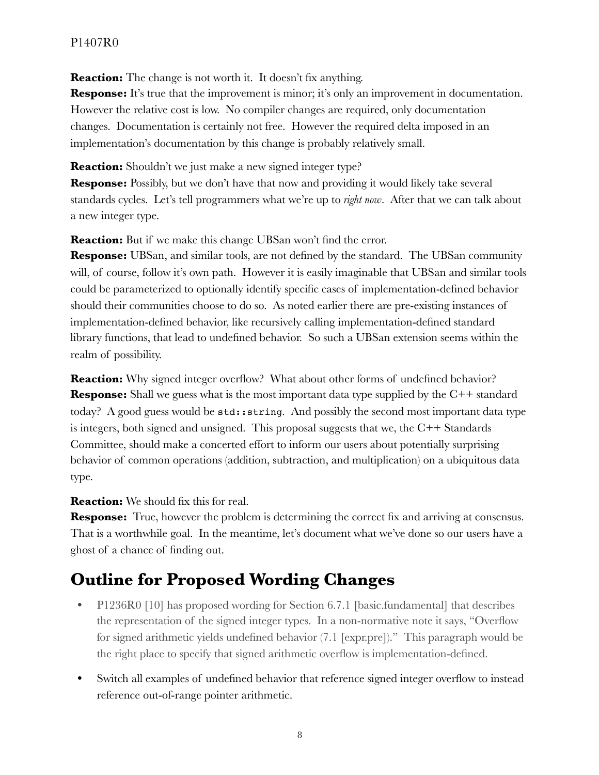**Reaction:** The change is not worth it. It doesn't fix anything.

**Response:** It's true that the improvement is minor; it's only an improvement in documentation. However the relative cost is low. No compiler changes are required, only documentation changes. Documentation is certainly not free. However the required delta imposed in an implementation's documentation by this change is probably relatively small.

**Reaction:** Shouldn't we just make a new signed integer type?

**Response:** Possibly, but we don't have that now and providing it would likely take several standards cycles. Let's tell programmers what we're up to *right now*. After that we can talk about a new integer type.

**Reaction:** But if we make this change UBSan won't find the error.

**Response:** UBSan, and similar tools, are not defined by the standard. The UBSan community will, of course, follow it's own path. However it is easily imaginable that UBSan and similar tools could be parameterized to optionally identify specific cases of implementation-defined behavior should their communities choose to do so. As noted earlier there are pre-existing instances of implementation-defined behavior, like recursively calling implementation-defined standard library functions, that lead to undefined behavior. So such a UBSan extension seems within the realm of possibility.

**Reaction:** Why signed integer overflow? What about other forms of undefined behavior? **Response:** Shall we guess what is the most important data type supplied by the C++ standard today? A good guess would be std::string. And possibly the second most important data type is integers, both signed and unsigned. This proposal suggests that we, the  $C++$  Standards Committee, should make a concerted effort to inform our users about potentially surprising behavior of common operations (addition, subtraction, and multiplication) on a ubiquitous data type.

**Reaction:** We should fix this for real.

**Response:** True, however the problem is determining the correct fix and arriving at consensus. That is a worthwhile goal. In the meantime, let's document what we've done so our users have a ghost of a chance of finding out.

# **Outline for Proposed Wording Changes**

- P1236R0 [10] has proposed wording for Section 6.7.1 [basic.fundamental] that describes the representation of the signed integer types. In a non-normative note it says, "Overflow for signed arithmetic yields undefined behavior (7.1 [expr.pre])." This paragraph would be the right place to specify that signed arithmetic overflow is implementation-defined.
- Switch all examples of undefined behavior that reference signed integer overflow to instead reference out-of-range pointer arithmetic.